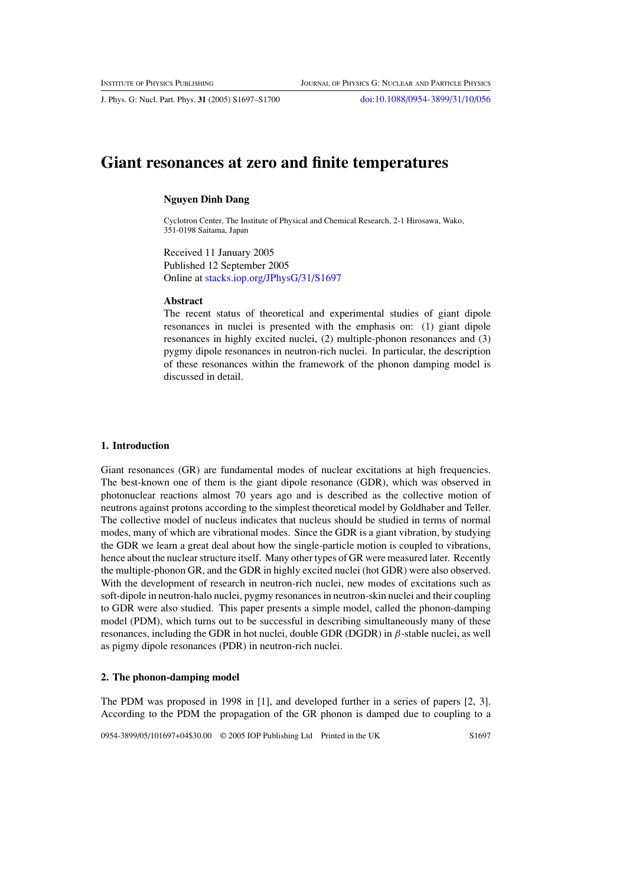J. Phys. G: Nucl. Part. Phys. **31** (2005) S1697–S1700 [doi:10.1088/0954-3899/31/10/056](http://dx.doi.org/10.1088/0954-3899/31/10/056)

# **Giant resonances at zero and finite temperatures**

## **Nguyen Dinh Dang**

Cyclotron Center, The Institute of Physical and Chemical Research, 2-1 Hirosawa, Wako, 351-0198 Saitama, Japan

Received 11 January 2005 Published 12 September 2005 Online at [stacks.iop.org/JPhysG/31/S1697](http://stacks.iop.org/jg/31/S1697)

#### **Abstract**

The recent status of theoretical and experimental studies of giant dipole resonances in nuclei is presented with the emphasis on: (1) giant dipole resonances in highly excited nuclei, (2) multiple-phonon resonances and (3) pygmy dipole resonances in neutron-rich nuclei. In particular, the description of these resonances within the framework of the phonon damping model is discussed in detail.

# **1. Introduction**

Giant resonances (GR) are fundamental modes of nuclear excitations at high frequencies. The best-known one of them is the giant dipole resonance (GDR), which was observed in photonuclear reactions almost 70 years ago and is described as the collective motion of neutrons against protons according to the simplest theoretical model by Goldhaber and Teller. The collective model of nucleus indicates that nucleus should be studied in terms of normal modes, many of which are vibrational modes. Since the GDR is a giant vibration, by studying the GDR we learn a great deal about how the single-particle motion is coupled to vibrations, hence about the nuclear structure itself. Many other types of GR were measured later. Recently the multiple-phonon GR, and the GDR in highly excited nuclei (hot GDR) were also observed. With the development of research in neutron-rich nuclei, new modes of excitations such as soft-dipole in neutron-halo nuclei, pygmy resonances in neutron-skin nuclei and their coupling to GDR were also studied. This paper presents a simple model, called the phonon-damping model (PDM), which turns out to be successful in describing simultaneously many of these resonances, including the GDR in hot nuclei, double GDR (DGDR) in *β*-stable nuclei, as well as pigmy dipole resonances (PDR) in neutron-rich nuclei.

#### **2. The phonon-damping model**

The PDM was proposed in 1998 in [1], and developed further in a series of papers [2, 3]. According to the PDM the propagation of the GR phonon is damped due to coupling to a

0954-3899/05/101697+04\$30.00 © 2005 IOP Publishing Ltd Printed in the UK S1697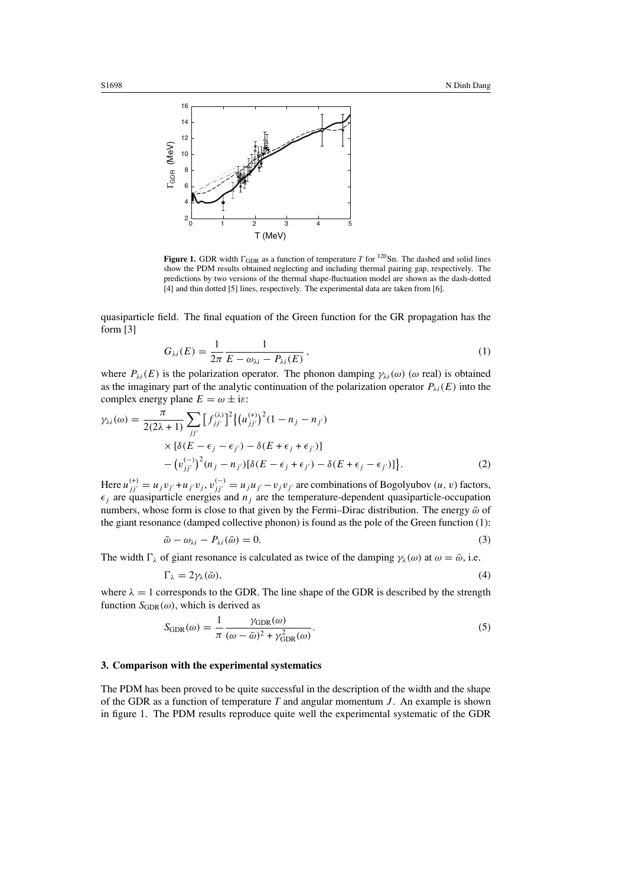

<span id="page-1-1"></span>**Figure 1.** GDR width  $\Gamma_{\text{GDR}}$  as a function of temperature *T* for <sup>120</sup>Sn. The dashed and solid lines show the PDM results obtained neglecting and including thermal pairing gap, respectively. The predictions by two versions of the thermal shape-fluctuation model are shown as the dash-dotted [4] and thin dotted [5] lines, respectively. The experimental data are taken from [6].

<span id="page-1-0"></span>quasiparticle field. The final equation of the Green function for the GR propagation has the form [3]

$$
G_{\lambda i}(E) = \frac{1}{2\pi} \frac{1}{E - \omega_{\lambda i} - P_{\lambda i}(E)},
$$
\n(1)

where  $P_{\lambda i}(E)$  is the polarization operator. The phonon damping  $\gamma_{\lambda i}(\omega)$  ( $\omega$  real) is obtained as the imaginary part of the analytic continuation of the polarization operator  $P_{\lambda i}(E)$  into the complex energy plane  $E = \omega \pm i\varepsilon$ :

$$
\gamma_{\lambda i}(\omega) = \frac{\pi}{2(2\lambda + 1)} \sum_{jj'} \left[ f_{jj'}^{(\lambda)} \right]^2 \left\{ \left( u_{jj'}^{(+)} \right)^2 (1 - n_j - n_{j'}) \right.\times \left[ \delta(E - \epsilon_j - \epsilon_{j'}) - \delta(E + \epsilon_j + \epsilon_{j'}) \right] - \left( v_{jj'}^{(-)} \right)^2 (n_j - n_{j'}) \left[ \delta(E - \epsilon_j + \epsilon_{j'}) - \delta(E + \epsilon_j - \epsilon_{j'}) \right].
$$
\n(2)

Here  $u_{jj'}^{(+)} = u_j v_{j'} + u_{j'} v_j$ ,  $v_{jj'}^{(-)} = u_j u_{j'} - v_j v_{j'}$  are combinations of Bogolyubov *(u, v)* factors,  $\epsilon_j$  are quasiparticle energies and  $n_j$  are the temperature-dependent quasiparticle-occupation numbers, whose form is close to that given by the Fermi–Dirac distribution. The energy  $\bar{\omega}$  of the giant resonance (damped collective phonon) is found as the pole of the Green function [\(1\)](#page-1-0):

$$
\bar{\omega} - \omega_{\lambda i} - P_{\lambda i}(\bar{\omega}) = 0. \tag{3}
$$

The width  $\Gamma_{\lambda}$  of giant resonance is calculated as twice of the damping  $\gamma_{\lambda}(\omega)$  at  $\omega = \bar{\omega}$ , i.e.

$$
\Gamma_{\lambda} = 2\gamma_{\lambda}(\bar{\omega}),\tag{4}
$$

where  $\lambda = 1$  corresponds to the GDR. The line shape of the GDR is described by the strength function  $S_{GDR}(\omega)$ , which is derived as

$$
S_{\text{GDR}}(\omega) = \frac{1}{\pi} \frac{\gamma_{\text{GDR}}(\omega)}{(\omega - \bar{\omega})^2 + \gamma_{\text{GDR}}^2(\omega)}.
$$
\n(5)

#### **3. Comparison with the experimental systematics**

The PDM has been proved to be quite successful in the description of the width and the shape of the GDR as a function of temperature *T* and angular momentum *J* . An example is shown in figure [1.](#page-1-1) The PDM results reproduce quite well the experimental systematic of the GDR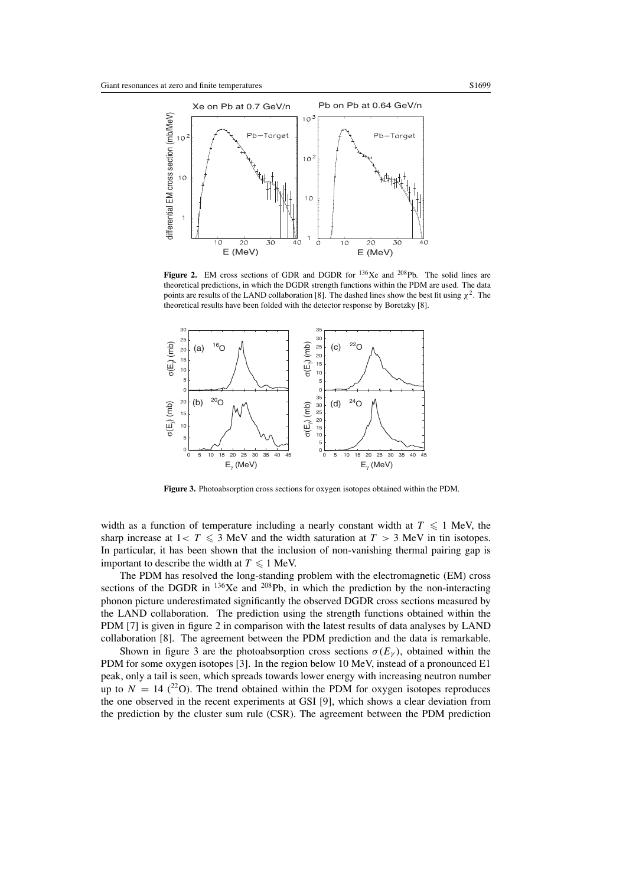

<span id="page-2-0"></span>**Figure 2.** EM cross sections of GDR and DGDR for  $136Xe$  and  $208Pb$ . The solid lines are theoretical predictions, in which the DGDR strength functions within the PDM are used. The data points are results of the LAND collaboration [8]. The dashed lines show the best fit using  $\chi^2$ . The theoretical results have been folded with the detector response by Boretzky [8].



**Figure 3.** Photoabsorption cross sections for oxygen isotopes obtained within the PDM.

<span id="page-2-1"></span>width as a function of temperature including a nearly constant width at  $T \leq 1$  MeV, the sharp increase at  $1 < T \le 3$  MeV and the width saturation at  $T > 3$  MeV in tin isotopes. In particular, it has been shown that the inclusion of non-vanishing thermal pairing gap is important to describe the width at  $T \leq 1$  MeV.

The PDM has resolved the long-standing problem with the electromagnetic (EM) cross sections of the DGDR in  $^{136}$ Xe and  $^{208}$ Pb, in which the prediction by the non-interacting phonon picture underestimated significantly the observed DGDR cross sections measured by the LAND collaboration. The prediction using the strength functions obtained within the PDM [7] is given in figure [2](#page-2-0) in comparison with the latest results of data analyses by LAND collaboration [8]. The agreement between the PDM prediction and the data is remarkable.

Shown in figure [3](#page-2-1) are the photoabsorption cross sections  $\sigma(E_{\nu})$ , obtained within the PDM for some oxygen isotopes [3]. In the region below 10 MeV, instead of a pronounced E1 peak, only a tail is seen, which spreads towards lower energy with increasing neutron number up to  $N = 14$  (<sup>22</sup>O). The trend obtained within the PDM for oxygen isotopes reproduces the one observed in the recent experiments at GSI [9], which shows a clear deviation from the prediction by the cluster sum rule (CSR). The agreement between the PDM prediction